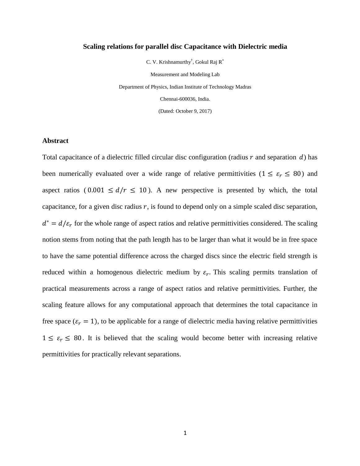### **Scaling relations for parallel disc Capacitance with Dielectric media**

C. V. Krishnamurthy<sup>†</sup>, Gokul Raj R<sup>\*</sup>

Measurement and Modeling Lab Department of Physics, Indian Institute of Technology Madras Chennai-600036, India. (Dated: October 9, 2017)

#### **Abstract**

Total capacitance of a dielectric filled circular disc configuration (radius  $r$  and separation  $d$ ) has been numerically evaluated over a wide range of relative permittivities ( $1 \le \varepsilon_r \le 80$ ) and aspect ratios (0.001  $\leq d/r \leq 10$ ). A new perspective is presented by which, the total capacitance, for a given disc radius  $r$ , is found to depend only on a simple scaled disc separation,  $d^* = d/\varepsilon_r$  for the whole range of aspect ratios and relative permittivities considered. The scaling notion stems from noting that the path length has to be larger than what it would be in free space to have the same potential difference across the charged discs since the electric field strength is reduced within a homogenous dielectric medium by  $\varepsilon_r$ . This scaling permits translation of practical measurements across a range of aspect ratios and relative permittivities. Further, the scaling feature allows for any computational approach that determines the total capacitance in free space ( $\varepsilon_r = 1$ ), to be applicable for a range of dielectric media having relative permittivities  $1 \leq \varepsilon_r \leq 80$ . It is believed that the scaling would become better with increasing relative permittivities for practically relevant separations.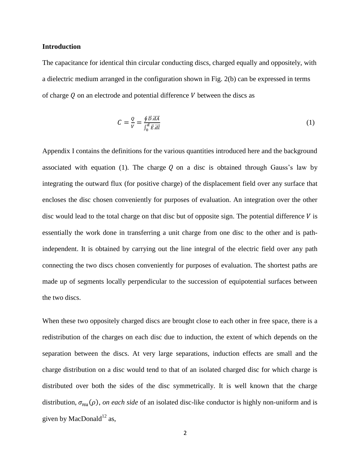### **Introduction**

The capacitance for identical thin circular conducting discs, charged equally and oppositely, with a dielectric medium arranged in the configuration shown in Fig. 2(b) can be expressed in terms of charge  $Q$  on an electrode and potential difference  $V$  between the discs as

$$
C = \frac{Q}{V} = \frac{\oint \vec{D} \cdot \vec{dA}}{\int_0^d \vec{E} \cdot \vec{dI}} \tag{1}
$$

Appendix I contains the definitions for the various quantities introduced here and the background associated with equation (1). The charge  $Q$  on a disc is obtained through Gauss's law by integrating the outward flux (for positive charge) of the displacement field over any surface that encloses the disc chosen conveniently for purposes of evaluation. An integration over the other disc would lead to the total charge on that disc but of opposite sign. The potential difference  $V$  is essentially the work done in transferring a unit charge from one disc to the other and is pathindependent. It is obtained by carrying out the line integral of the electric field over any path connecting the two discs chosen conveniently for purposes of evaluation. The shortest paths are made up of segments locally perpendicular to the succession of equipotential surfaces between the two discs.

When these two oppositely charged discs are brought close to each other in free space, there is a redistribution of the charges on each disc due to induction, the extent of which depends on the separation between the discs. At very large separations, induction effects are small and the charge distribution on a disc would tend to that of an isolated charged disc for which charge is distributed over both the sides of the disc symmetrically. It is well known that the charge distribution,  $\sigma_{nn}(\rho)$ , *on each side* of an isolated disc-like conductor is highly non-uniform and is given by MacDonald $^{12}$  as,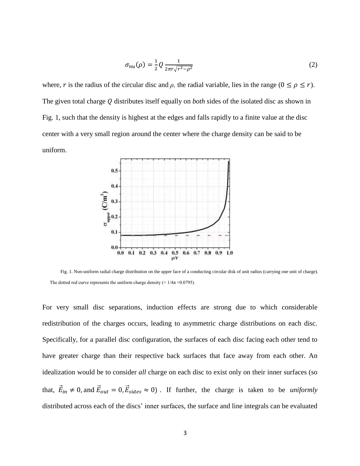$$
\sigma_{nu}(\rho) = \frac{1}{2} Q \frac{1}{2\pi r \sqrt{r^2 - \rho^2}} \tag{2}
$$

where, r is the radius of the circular disc and  $\rho$ , the radial variable, lies in the range ( $0 \le \rho \le r$ ). The given total charge Q distributes itself equally on *both* sides of the isolated disc as shown in Fig. 1, such that the density is highest at the edges and falls rapidly to a finite value at the disc center with a very small region around the center where the charge density can be said to be uniform.



Fig. 1. Non-uniform radial charge distribution on the upper face of a conducting circular disk of unit radius (carrying one unit of charge). The dotted red curve represents the uniform charge density (=  $1/4\pi$  =0.0795).

For very small disc separations, induction effects are strong due to which considerable redistribution of the charges occurs, leading to asymmetric charge distributions on each disc. Specifically, for a parallel disc configuration, the surfaces of each disc facing each other tend to have greater charge than their respective back surfaces that face away from each other. An idealization would be to consider *all* charge on each disc to exist only on their inner surfaces (so that,  $\vec{E}_{in} \neq 0$ , and  $\vec{E}_{out} = 0$ ,  $\vec{E}_{sides} \approx 0$ ). If further, the charge is taken to be *uniformly* distributed across each of the discs' inner surfaces, the surface and line integrals can be evaluated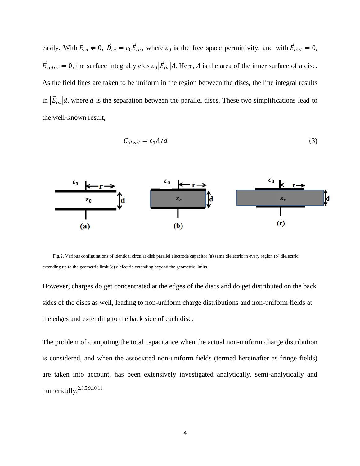easily. With  $\vec{E}_{in} \neq 0$ ,  $\vec{D}_{in} = \varepsilon_0 \vec{E}_{in}$ , where  $\varepsilon_0$  is the free space permittivity, and with  $\vec{E}_o$  $\vec{E}_{\text{sides}} = 0$ , the surface integral yields  $\varepsilon_0 |\vec{E}_{in}| A$ . Here, A is the area of the inner surface of a disc. As the field lines are taken to be uniform in the region between the discs, the line integral results in  $|\vec{E}_{in}|d$ , where d is the separation between the parallel discs. These two simplifications lead to the well-known result,

$$
C_{ideal} = \varepsilon_0 A/d \tag{3}
$$



Fig.2. Various configurations of identical circular disk parallel electrode capacitor (a) same dielectric in every region (b) dielectric extending up to the geometric limit (c) dielectric extending beyond the geometric limits.

However, charges do get concentrated at the edges of the discs and do get distributed on the back sides of the discs as well, leading to non-uniform charge distributions and non-uniform fields at the edges and extending to the back side of each disc.

The problem of computing the total capacitance when the actual non-uniform charge distribution is considered, and when the associated non-uniform fields (termed hereinafter as fringe fields) are taken into account, has been extensively investigated analytically, semi-analytically and numerically.<sup>2,3,5,9,10,11</sup>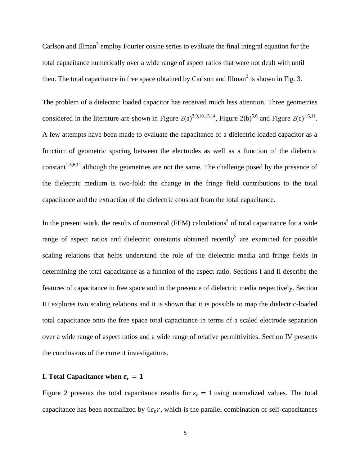Carlson and Illman<sup>3</sup> employ Fourier cosine series to evaluate the final integral equation for the total capacitance numerically over a wide range of aspect ratios that were not dealt with until then. The total capacitance in free space obtained by Carlson and Illman<sup>3</sup> is shown in Fig. 3.

The problem of a dielectric loaded capacitor has received much less attention. Three geometries considered in the literature are shown in Figure 2(a)<sup>3,9,10,13,14</sup>, Figure 2(b)<sup>5,6</sup> and Figure 2(c)<sup>1,6,11</sup>. A few attempts have been made to evaluate the capacitance of a dielectric loaded capacitor as a function of geometric spacing between the electrodes as well as a function of the dielectric constant<sup>1,5,6,11</sup> although the geometries are not the same. The challenge posed by the presence of the dielectric medium is two-fold: the change in the fringe field contributions to the total capacitance and the extraction of the dielectric constant from the total capacitance.

In the present work, the results of numerical (FEM) calculations<sup>4</sup> of total capacitance for a wide range of aspect ratios and dielectric constants obtained recently<sup>5</sup> are examined for possible scaling relations that helps understand the role of the dielectric media and fringe fields in determining the total capacitance as a function of the aspect ratio. Sections I and II describe the features of capacitance in free space and in the presence of dielectric media respectively. Section III explores two scaling relations and it is shown that it is possible to map the dielectric-loaded total capacitance onto the free space total capacitance in terms of a scaled electrode separation over a wide range of aspect ratios and a wide range of relative permittivities. Section IV presents the conclusions of the current investigations.

# **I.** Total Capacitance when  $\varepsilon_r = 1$

Figure 2 presents the total capacitance results for  $\varepsilon_r = 1$  using normalized values. The total capacitance has been normalized by  $4\varepsilon_0 r$ , which is the parallel combination of self-capacitances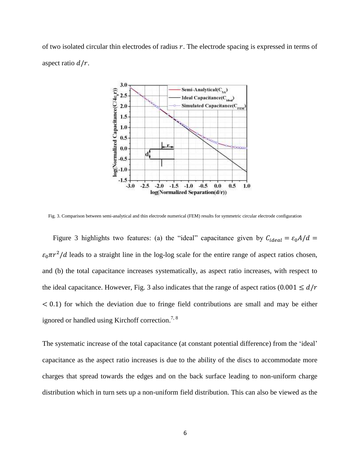of two isolated circular thin electrodes of radius  $r$ . The electrode spacing is expressed in terms of aspect ratio  $d/r$ .



Fig. 3. Comparison between semi-analytical and thin electrode numerical (FEM) results for symmetric circular electrode configuration

Figure 3 highlights two features: (a) the "ideal" capacitance given by  $C_{ideal} = \varepsilon_0 A/d =$  $\varepsilon_0 \pi r^2/d$  leads to a straight line in the log-log scale for the entire range of aspect ratios chosen, and (b) the total capacitance increases systematically, as aspect ratio increases, with respect to the ideal capacitance. However, Fig. 3 also indicates that the range of aspect ratios (0.001  $\leq d/r$ )  $\leq$  0.1) for which the deviation due to fringe field contributions are small and may be either ignored or handled using Kirchoff correction.<sup>7, 8</sup>

The systematic increase of the total capacitance (at constant potential difference) from the 'ideal' capacitance as the aspect ratio increases is due to the ability of the discs to accommodate more charges that spread towards the edges and on the back surface leading to non-uniform charge distribution which in turn sets up a non-uniform field distribution. This can also be viewed as the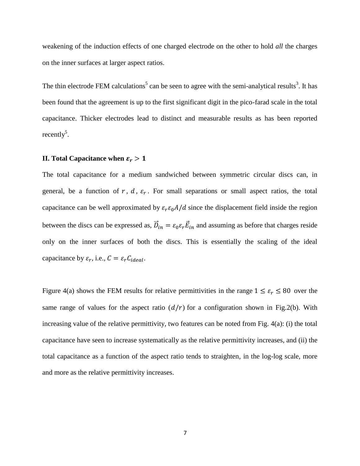weakening of the induction effects of one charged electrode on the other to hold *all* the charges on the inner surfaces at larger aspect ratios.

The thin electrode FEM calculations<sup>5</sup> can be seen to agree with the semi-analytical results<sup>3</sup>. It has been found that the agreement is up to the first significant digit in the pico-farad scale in the total capacitance. Thicker electrodes lead to distinct and measurable results as has been reported recently<sup>5</sup>.

## **II.** Total Capacitance when  $\varepsilon_r > 1$

The total capacitance for a medium sandwiched between symmetric circular discs can, in general, be a function of  $r$ ,  $d$ ,  $\varepsilon_r$ . For small separations or small aspect ratios, the total capacitance can be well approximated by  $\varepsilon_r \varepsilon_0 A/d$  since the displacement field inside the region between the discs can be expressed as,  $D_{in} = \varepsilon_0 \varepsilon_r E_{in}$  and assuming as before that charges reside only on the inner surfaces of both the discs. This is essentially the scaling of the ideal capacitance by  $\varepsilon_r$ , i.e.,  $C = \varepsilon_r C_{ideal}$ .

Figure 4(a) shows the FEM results for relative permittivities in the range  $1 \le \varepsilon_r \le 80$  over the same range of values for the aspect ratio  $(d/r)$  for a configuration shown in Fig.2(b). With increasing value of the relative permittivity, two features can be noted from Fig. 4(a): (i) the total capacitance have seen to increase systematically as the relative permittivity increases, and (ii) the total capacitance as a function of the aspect ratio tends to straighten, in the log-log scale, more and more as the relative permittivity increases.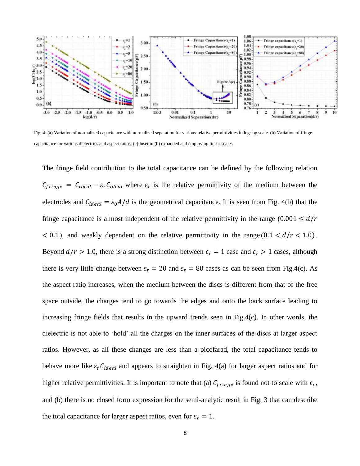

Fig. 4. (a) Variation of normalized capacitance with normalized separation for various relative permittivities in log-log scale. (b) Variation of fringe capacitance for various dielectrics and aspect ratios. (c) Inset in (b) expanded and employing linear scales.

The fringe field contribution to the total capacitance can be defined by the following relation  $C_{triangle} = C_{total} - \varepsilon_r C_{ideal}$  where  $\varepsilon_r$  is the relative permittivity of the medium between the electrodes and  $C_{ideal} = \varepsilon_0 A/d$  is the geometrical capacitance. It is seen from Fig. 4(b) that the fringe capacitance is almost independent of the relative permittivity in the range  $(0.001 \le d/r)$  $< 0.1$ ), and weakly dependent on the relative permittivity in the range  $(0.1 < d/r < 1.0)$ . Beyond  $d/r > 1.0$ , there is a strong distinction between  $\varepsilon_r = 1$  case and  $\varepsilon_r > 1$  cases, although there is very little change between  $\varepsilon_r = 20$  and  $\varepsilon_r = 80$  cases as can be seen from Fig.4(c). As the aspect ratio increases, when the medium between the discs is different from that of the free space outside, the charges tend to go towards the edges and onto the back surface leading to increasing fringe fields that results in the upward trends seen in Fig.4(c). In other words, the dielectric is not able to 'hold' all the charges on the inner surfaces of the discs at larger aspect ratios. However, as all these changes are less than a picofarad, the total capacitance tends to behave more like  $\varepsilon_r C_{ideal}$  and appears to straighten in Fig. 4(a) for larger aspect ratios and for higher relative permittivities. It is important to note that (a)  $C_{frinae}$  is found not to scale with  $\varepsilon_r$ , and (b) there is no closed form expression for the semi-analytic result in Fig. 3 that can describe the total capacitance for larger aspect ratios, even for  $\varepsilon_r = 1$ .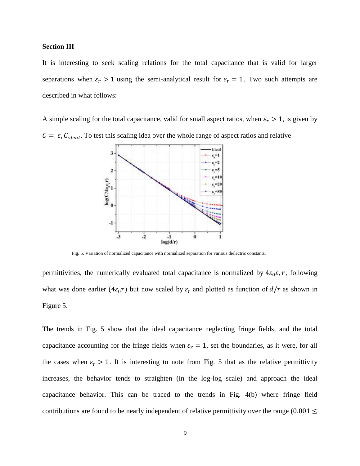## **Section III**

It is interesting to seek scaling relations for the total capacitance that is valid for larger separations when  $\varepsilon_r > 1$  using the semi-analytical result for  $\varepsilon_r = 1$ . Two such attempts are described in what follows:

A simple scaling for the total capacitance, valid for small aspect ratios, when  $\varepsilon_r > 1$ , is given by  $C = \varepsilon_r C_{ideal}$ . To test this scaling idea over the whole range of aspect ratios and relative



Fig. 5. Variation of normalized capacitance with normalized separation for various dielectric constants.

permittivities, the numerically evaluated total capacitance is normalized by  $4\varepsilon_0 \varepsilon_r r$ , following what was done earlier ( $4\varepsilon_0 r$ ) but now scaled by  $\varepsilon_r$  and plotted as function of  $d/r$  as shown in Figure 5.

The trends in Fig. 5 show that the ideal capacitance neglecting fringe fields, and the total capacitance accounting for the fringe fields when  $\varepsilon_r = 1$ , set the boundaries, as it were, for all the cases when  $\varepsilon_r > 1$ . It is interesting to note from Fig. 5 that as the relative permittivity increases, the behavior tends to straighten (in the log-log scale) and approach the ideal capacitance behavior. This can be traced to the trends in Fig. 4(b) where fringe field contributions are found to be nearly independent of relative permittivity over the range  $(0.001 \le$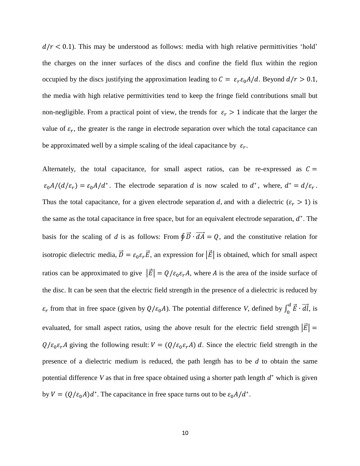$d/r < 0.1$ ). This may be understood as follows: media with high relative permittivities 'hold' the charges on the inner surfaces of the discs and confine the field flux within the region occupied by the discs justifying the approximation leading to  $C = \varepsilon_r \varepsilon_0 A/d$ . Beyond  $d/r > 0.1$ , the media with high relative permittivities tend to keep the fringe field contributions small but non-negligible. From a practical point of view, the trends for  $\varepsilon_r > 1$  indicate that the larger the value of  $\varepsilon_r$ , the greater is the range in electrode separation over which the total capacitance can be approximated well by a simple scaling of the ideal capacitance by  $\varepsilon_r$ .

Alternately, the total capacitance, for small aspect ratios, can be re-expressed as  $C =$  $\varepsilon_0 A/(d/\varepsilon_r) = \varepsilon_0 A/d^*$ . The electrode separation d is now scaled to  $d^*$ , where,  $d^* = d/\varepsilon_r$ . Thus the total capacitance, for a given electrode separation d, and with a dielectric ( $\varepsilon_r > 1$ ) is the same as the total capacitance in free space, but for an equivalent electrode separation,  $d^*$ . The basis for the scaling of *d* is as follows: From  $\oint \vec{D} \cdot d\vec{A} = Q$ , and the constitutive relation for isotropic dielectric media,  $\vec{D} = \varepsilon_0 \varepsilon_r \vec{E}$ , an expression for  $|\vec{E}|$  is obtained, which for small aspect ratios can be approximated to give  $|\vec{E}| = Q/\varepsilon_0 \varepsilon_r A$ , where A is the area of the inside surface of the disc. It can be seen that the electric field strength in the presence of a dielectric is reduced by  $\varepsilon_r$  from that in free space (given by  $Q/\varepsilon_0 A$ ). The potential difference *V*, defined by  $\int_0^d$  $\int_{0}^{u} \vec{E} \cdot d\vec{l}$ , is evaluated, for small aspect ratios, using the above result for the electric field strength  $|\vec{E}|$  =  $Q/\varepsilon_0\varepsilon_r A$  giving the following result:  $V = (Q/\varepsilon_0\varepsilon_r A) d$ . Since the electric field strength in the presence of a dielectric medium is reduced, the path length has to be *d* to obtain the same potential difference  $V$  as that in free space obtained using a shorter path length  $d^*$  which is given by  $V = (Q/\varepsilon_0 A)d^*$ . The capacitance in free space turns out to be  $\varepsilon_0 A/d^*$ .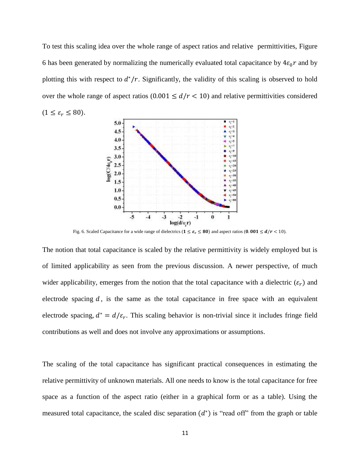To test this scaling idea over the whole range of aspect ratios and relative permittivities, Figure 6 has been generated by normalizing the numerically evaluated total capacitance by  $4\varepsilon_0 r$  and by plotting this with respect to  $d^*/r$ . Significantly, the validity of this scaling is observed to hold over the whole range of aspect ratios ( $0.001 \le d/r < 10$ ) and relative permittivities considered  $(1 \leq \varepsilon_r \leq 80).$ 



Fig. 6. Scaled Capacitance for a wide range of dielectrics ( $1 \le \varepsilon_r \le 80$ ) and aspect ratios (0.001  $\le d/r < 10$ ).

The notion that total capacitance is scaled by the relative permittivity is widely employed but is of limited applicability as seen from the previous discussion. A newer perspective, of much wider applicability, emerges from the notion that the total capacitance with a dielectric  $(\varepsilon_r)$  and electrode spacing  $d$ , is the same as the total capacitance in free space with an equivalent electrode spacing,  $d^* = d/\varepsilon_r$ . This scaling behavior is non-trivial since it includes fringe field contributions as well and does not involve any approximations or assumptions.

The scaling of the total capacitance has significant practical consequences in estimating the relative permittivity of unknown materials. All one needs to know is the total capacitance for free space as a function of the aspect ratio (either in a graphical form or as a table). Using the measured total capacitance, the scaled disc separation  $(d^*)$  is "read off" from the graph or table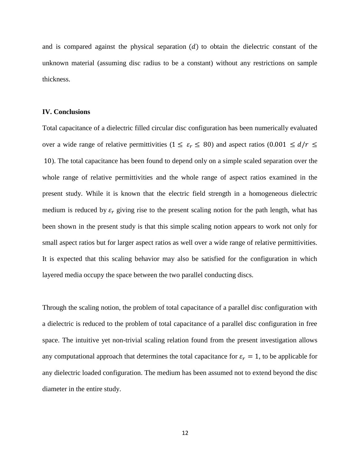and is compared against the physical separation  $(d)$  to obtain the dielectric constant of the unknown material (assuming disc radius to be a constant) without any restrictions on sample thickness.

#### **IV. Conclusions**

Total capacitance of a dielectric filled circular disc configuration has been numerically evaluated over a wide range of relative permittivities ( $1 \le \varepsilon_r \le 80$ ) and aspect ratios (0.001  $\le d/r \le$  ). The total capacitance has been found to depend only on a simple scaled separation over the whole range of relative permittivities and the whole range of aspect ratios examined in the present study. While it is known that the electric field strength in a homogeneous dielectric medium is reduced by  $\varepsilon_r$  giving rise to the present scaling notion for the path length, what has been shown in the present study is that this simple scaling notion appears to work not only for small aspect ratios but for larger aspect ratios as well over a wide range of relative permittivities. It is expected that this scaling behavior may also be satisfied for the configuration in which layered media occupy the space between the two parallel conducting discs.

Through the scaling notion, the problem of total capacitance of a parallel disc configuration with a dielectric is reduced to the problem of total capacitance of a parallel disc configuration in free space. The intuitive yet non-trivial scaling relation found from the present investigation allows any computational approach that determines the total capacitance for  $\varepsilon_r = 1$ , to be applicable for any dielectric loaded configuration. The medium has been assumed not to extend beyond the disc diameter in the entire study.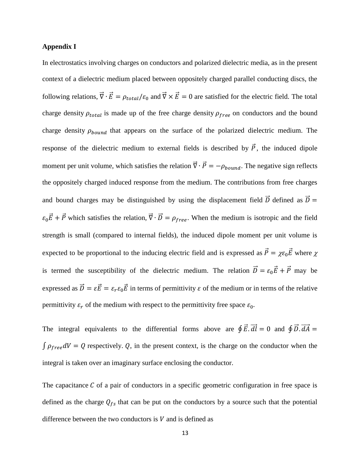## **Appendix I**

In electrostatics involving charges on conductors and polarized dielectric media, as in the present context of a dielectric medium placed between oppositely charged parallel conducting discs, the following relations,  $\vec{\nabla} \cdot \vec{E} = \rho_{total}/\varepsilon_0$  and  $\vec{\nabla} \times \vec{E} = 0$  are satisfied for the electric field. The total charge density  $\rho_{total}$  is made up of the free charge density  $\rho_{free}$  on conductors and the bound charge density  $\rho_{bound}$  that appears on the surface of the polarized dielectric medium. The response of the dielectric medium to external fields is described by  $\vec{P}$ , the induced dipole moment per unit volume, which satisfies the relation  $\vec{\nabla} \cdot \vec{P} = -\rho_{bound}$ . The negative sign reflects the oppositely charged induced response from the medium. The contributions from free charges and bound charges may be distinguished by using the displacement field  $\vec{D}$  defined as  $\vec{D}$  =  $\varepsilon_0 \vec{E} + \vec{P}$  which satisfies the relation,  $\vec{\nabla} \cdot \vec{D} = \rho_{free}$ . When the medium is isotropic and the field strength is small (compared to internal fields), the induced dipole moment per unit volume is expected to be proportional to the inducing electric field and is expressed as  $\vec{P} = \chi \varepsilon_0 \vec{E}$  where  $\chi$ is termed the susceptibility of the dielectric medium. The relation  $\vec{D} = \varepsilon_0 \vec{E} + \vec{P}$  may be expressed as  $\vec{D} = \varepsilon \vec{E} = \varepsilon_r \varepsilon_0 \vec{E}$  in terms of permittivity  $\varepsilon$  of the medium or in terms of the relative permittivity  $\varepsilon_r$  of the medium with respect to the permittivity free space  $\varepsilon_0$ .

The integral equivalents to the differential forms above are  $\oint \vec{E} \cdot d\vec{l} = 0$  and  $\oint \vec{D} \cdot d\vec{A} = 0$  $\int \rho_{free} dV = Q$  respectively. Q, in the present context, is the charge on the conductor when the integral is taken over an imaginary surface enclosing the conductor.

The capacitance  $C$  of a pair of conductors in a specific geometric configuration in free space is defined as the charge  $Q_{fs}$  that can be put on the conductors by a source such that the potential difference between the two conductors is  $V$  and is defined as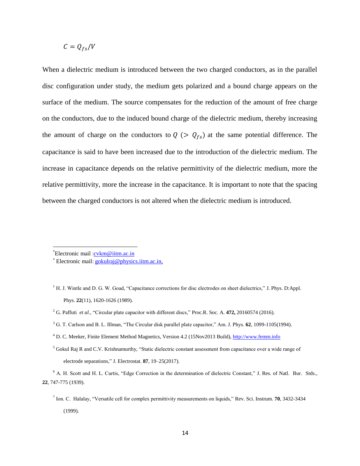$$
C = Q_{fs}/V
$$

When a dielectric medium is introduced between the two charged conductors, as in the parallel disc configuration under study, the medium gets polarized and a bound charge appears on the surface of the medium. The source compensates for the reduction of the amount of free charge on the conductors, due to the induced bound charge of the dielectric medium, thereby increasing the amount of charge on the conductors to  $Q \left( > Q_{fs} \right)$  at the same potential difference. The capacitance is said to have been increased due to the introduction of the dielectric medium. The increase in capacitance depends on the relative permittivity of the dielectric medium, more the relative permittivity, more the increase in the capacitance. It is important to note that the spacing between the charged conductors is not altered when the dielectric medium is introduced.

l

- <sup>1</sup> H. J. Wintle and D. G. W. Goad, "Capacitance corrections for disc electrodes on sheet dielectrics," J. Phys. D:Appl. Phys. **22**(11), 1620-1626 (1989).
- <sup>2</sup> G. Paffuti *et al.*, "Circular plate capacitor with different discs," Proc.R. Soc. A. **472,** 20160574 (2016).
- <sup>3</sup> G. T. Carlson and B. L. Illman, "The Circular disk parallel plate capacitor," Am. J. Phys. **62**, 1099-1105(1994).
- <sup>4</sup> D. C. Meeker, Finite Element Method Magnetics, Version 4.2 (15Nov2013 Build), [http://www.femm.info](http://www.femm.info/)
- $<sup>5</sup>$  Gokul Raj R and C.V. Krishnamurthy, "Static dielectric constant assessment from capacitance over a wide range of</sup> electrode separations," J. Electrostat. **87**, 19–25(2017).

<sup>&</sup>lt;sup>†</sup>Electronic mail :*[cvkm@iitm.ac.in](mailto:cvkm@iitm.ac.in)* 

Electronic mail: [gokulraj@physics.iitm.ac.in,](mailto:gokulraj@physics.iitm.ac.in)

<sup>6</sup> A. H. Scott and H. L. Curtis, "Edge Correction in the determination of dielectric Constant," J. Res. of Natl. Bur. Stds., **22**, 747-775 (1939).

<sup>7</sup> Ion. C. Halalay, "Versatile cell for complex permittivity measurements on liquids," Rev. Sci. Instrum. **70**, 3432-3434 (1999).